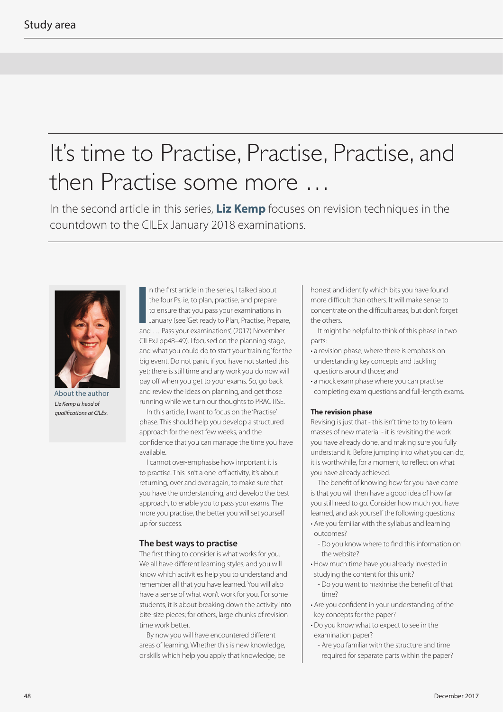# It's time to Practise, Practise, Practise, and then Practise some more …

In the second article in this series, **Liz Kemp** focuses on revision techniques in the countdown to the CILEx January 2018 examinations.



About the author *Liz Kemp is head of qualifications at CILEx.*

In the first article in the series, I talked about<br>the four Ps, ie, to plan, practise, and prepare<br>to ensure that you pass your examinations in<br>January (see 'Get ready to Plan, Practise, Prepara<br>and ... Pass your examinati n the first article in the series, I talked about the four Ps, ie, to plan, practise, and prepare to ensure that you pass your examinations in January (see 'Get ready to Plan, Practise, Prepare, CILExJ pp48–49). I focused on the planning stage, and what you could do to start your 'training' for the big event. Do not panic if you have not started this yet; there is still time and any work you do now will pay off when you get to your exams. So, go back and review the ideas on planning, and get those running while we turn our thoughts to PRACTISE.

In this article, I want to focus on the 'Practise' phase. This should help you develop a structured approach for the next few weeks, and the confidence that you can manage the time you have available.

I cannot over-emphasise how important it is to practise. This isn't a one-off activity, it's about returning, over and over again, to make sure that you have the understanding, and develop the best approach, to enable you to pass your exams. The more you practise, the better you will set yourself up for success.

### **The best ways to practise**

The first thing to consider is what works for you. We all have different learning styles, and you will know which activities help you to understand and remember all that you have learned. You will also have a sense of what won't work for you. For some students, it is about breaking down the activity into bite-size pieces; for others, large chunks of revision time work better.

By now you will have encountered different areas of learning. Whether this is new knowledge, or skills which help you apply that knowledge, be

honest and identify which bits you have found more difficult than others. It will make sense to concentrate on the difficult areas, but don't forget the others.

It might be helpful to think of this phase in two parts:

- a revision phase, where there is emphasis on understanding key concepts and tackling questions around those; and
- a mock exam phase where you can practise completing exam questions and full-length exams.

#### **The revision phase**

Revising is just that - this isn't time to try to learn masses of new material - it is revisiting the work you have already done, and making sure you fully understand it. Before jumping into what you can do, it is worthwhile, for a moment, to reflect on what you have already achieved.

The benefit of knowing how far you have come is that you will then have a good idea of how far you still need to go. Consider how much you have learned, and ask yourself the following questions:

- Are you familiar with the syllabus and learning outcomes?
	- Do you know where to find this information on the website?
- How much time have you already invested in studying the content for this unit?
	- Do you want to maximise the benefit of that time?
- Are you confident in your understanding of the key concepts for the paper?
- Do you know what to expect to see in the examination paper?
	- Are you familiar with the structure and time required for separate parts within the paper?